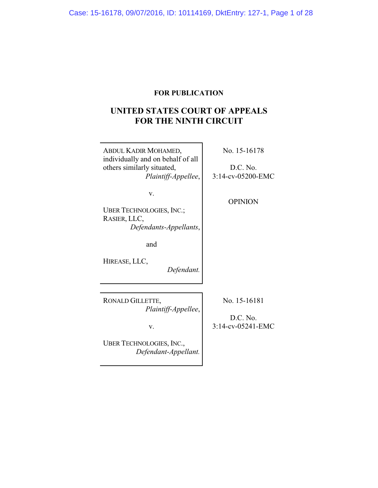# **FOR PUBLICATION**

# **UNITED STATES COURT OF APPEALS FOR THE NINTH CIRCUIT**

| ABDUL KADIR MOHAMED,<br>individually and on behalf of all<br>others similarly situated,<br>Plaintiff-Appellee,        | No. 15-16178<br>D.C. No.<br>3:14-cv-05200-EMC    |
|-----------------------------------------------------------------------------------------------------------------------|--------------------------------------------------|
| v.<br><b>UBER TECHNOLOGIES, INC.;</b><br>RASIER, LLC,<br>Defendants-Appellants,<br>and<br>HIREASE, LLC,<br>Defendant. | <b>OPINION</b>                                   |
| RONALD GILLETTE,<br>Plaintiff-Appellee,<br>v.<br><b>UBER TECHNOLOGIES, INC.,</b><br>Defendant-Appellant.              | No. 15-16181<br>D.C. No.<br>$3:14$ -cv-05241-EMC |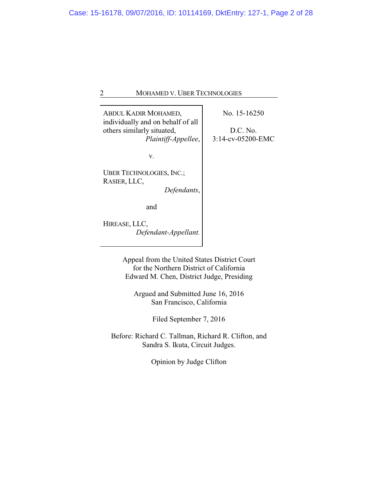ABDUL KADIR MOHAMED, individually and on behalf of all others similarly situated, *Plaintiff-Appellee*, v. UBER TECHNOLOGIES, INC.; RASIER, LLC, *Defendants*, and HIREASE, LLC, *Defendant-Appellant.* No. 15-16250 D.C. No. 3:14-cv-05200-EMC

> Appeal from the United States District Court for the Northern District of California Edward M. Chen, District Judge, Presiding

Argued and Submitted June 16, 2016 San Francisco, California

Filed September 7, 2016

Before: Richard C. Tallman, Richard R. Clifton, and Sandra S. Ikuta, Circuit Judges.

Opinion by Judge Clifton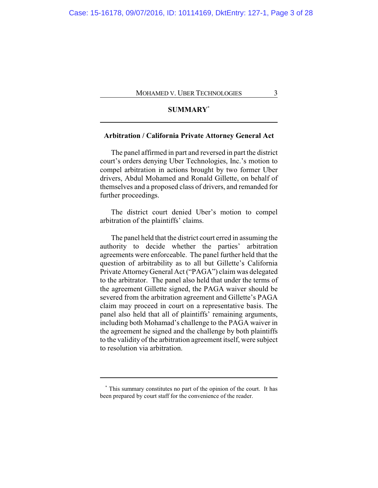# **SUMMARY\***

# **Arbitration / California Private Attorney General Act**

The panel affirmed in part and reversed in part the district court's orders denying Uber Technologies, Inc.'s motion to compel arbitration in actions brought by two former Uber drivers, Abdul Mohamed and Ronald Gillette, on behalf of themselves and a proposed class of drivers, and remanded for further proceedings.

The district court denied Uber's motion to compel arbitration of the plaintiffs' claims.

The panel held that the district court erred in assuming the authority to decide whether the parties' arbitration agreements were enforceable. The panel further held that the question of arbitrability as to all but Gillette's California Private AttorneyGeneral Act ("PAGA") claim was delegated to the arbitrator. The panel also held that under the terms of the agreement Gillette signed, the PAGA waiver should be severed from the arbitration agreement and Gillette's PAGA claim may proceed in court on a representative basis. The panel also held that all of plaintiffs' remaining arguments, including both Mohamad's challenge to the PAGA waiver in the agreement he signed and the challenge by both plaintiffs to the validity of the arbitration agreement itself, were subject to resolution via arbitration.

**<sup>\*</sup>** This summary constitutes no part of the opinion of the court. It has been prepared by court staff for the convenience of the reader.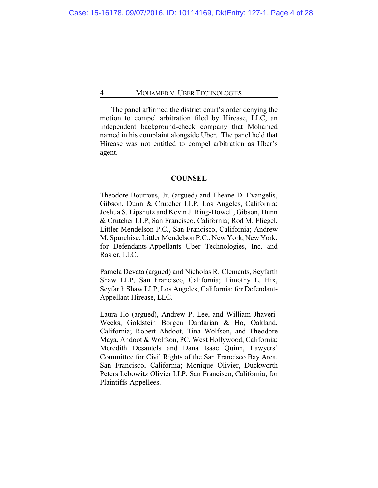The panel affirmed the district court's order denying the motion to compel arbitration filed by Hirease, LLC, an independent background-check company that Mohamed named in his complaint alongside Uber. The panel held that Hirease was not entitled to compel arbitration as Uber's agent.

# **COUNSEL**

Theodore Boutrous, Jr. (argued) and Theane D. Evangelis, Gibson, Dunn & Crutcher LLP, Los Angeles, California; Joshua S. Lipshutz and Kevin J. Ring-Dowell, Gibson, Dunn & Crutcher LLP, San Francisco, California; Rod M. Fliegel, Littler Mendelson P.C., San Francisco, California; Andrew M. Spurchise, Littler Mendelson P.C., New York, New York; for Defendants-Appellants Uber Technologies, Inc. and Rasier, LLC.

Pamela Devata (argued) and Nicholas R. Clements, Seyfarth Shaw LLP, San Francisco, California; Timothy L. Hix, Seyfarth Shaw LLP, Los Angeles, California; for Defendant-Appellant Hirease, LLC.

Laura Ho (argued), Andrew P. Lee, and William Jhaveri-Weeks, Goldstein Borgen Dardarian & Ho, Oakland, California; Robert Ahdoot, Tina Wolfson, and Theodore Maya, Ahdoot & Wolfson, PC, West Hollywood, California; Meredith Desautels and Dana Isaac Quinn, Lawyers' Committee for Civil Rights of the San Francisco Bay Area, San Francisco, California; Monique Olivier, Duckworth Peters Lebowitz Olivier LLP, San Francisco, California; for Plaintiffs-Appellees.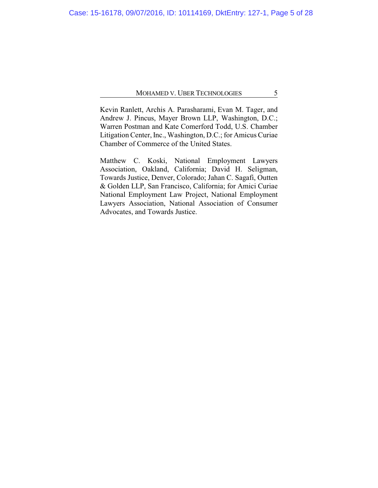Kevin Ranlett, Archis A. Parasharami, Evan M. Tager, and Andrew J. Pincus, Mayer Brown LLP, Washington, D.C.; Warren Postman and Kate Comerford Todd, U.S. Chamber Litigation Center, Inc., Washington, D.C.; for Amicus Curiae Chamber of Commerce of the United States.

Matthew C. Koski, National Employment Lawyers Association, Oakland, California; David H. Seligman, Towards Justice, Denver, Colorado; Jahan C. Sagafi, Outten & Golden LLP, San Francisco, California; for Amici Curiae National Employment Law Project, National Employment Lawyers Association, National Association of Consumer Advocates, and Towards Justice.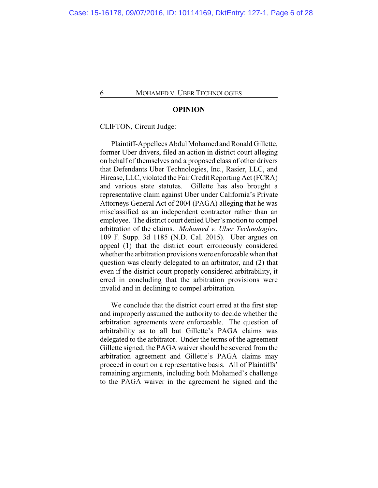#### **OPINION**

#### CLIFTON, Circuit Judge:

Plaintiff-Appellees Abdul Mohamed and Ronald Gillette, former Uber drivers, filed an action in district court alleging on behalf of themselves and a proposed class of other drivers that Defendants Uber Technologies, Inc., Rasier, LLC, and Hirease, LLC, violated the Fair Credit Reporting Act (FCRA) and various state statutes. Gillette has also brought a representative claim against Uber under California's Private Attorneys General Act of 2004 (PAGA) alleging that he was misclassified as an independent contractor rather than an employee. The district court denied Uber's motion to compel arbitration of the claims. *Mohamed v. Uber Technologies*, 109 F. Supp. 3d 1185 (N.D. Cal. 2015). Uber argues on appeal (1) that the district court erroneously considered whether the arbitration provisions were enforceable when that question was clearly delegated to an arbitrator, and (2) that even if the district court properly considered arbitrability, it erred in concluding that the arbitration provisions were invalid and in declining to compel arbitration.

We conclude that the district court erred at the first step and improperly assumed the authority to decide whether the arbitration agreements were enforceable. The question of arbitrability as to all but Gillette's PAGA claims was delegated to the arbitrator. Under the terms of the agreement Gillette signed, the PAGA waiver should be severed from the arbitration agreement and Gillette's PAGA claims may proceed in court on a representative basis. All of Plaintiffs' remaining arguments, including both Mohamed's challenge to the PAGA waiver in the agreement he signed and the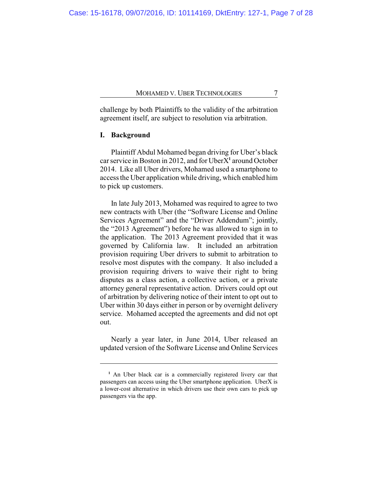challenge by both Plaintiffs to the validity of the arbitration agreement itself, are subject to resolution via arbitration.

# **I. Background**

Plaintiff Abdul Mohamed began driving for Uber's black car service in Boston in 2012, and for UberX**<sup>1</sup>** around October 2014. Like all Uber drivers, Mohamed used a smartphone to access the Uber application while driving, which enabled him to pick up customers.

In late July 2013, Mohamed was required to agree to two new contracts with Uber (the "Software License and Online Services Agreement" and the "Driver Addendum"; jointly, the "2013 Agreement") before he was allowed to sign in to the application. The 2013 Agreement provided that it was governed by California law. It included an arbitration provision requiring Uber drivers to submit to arbitration to resolve most disputes with the company. It also included a provision requiring drivers to waive their right to bring disputes as a class action, a collective action, or a private attorney general representative action. Drivers could opt out of arbitration by delivering notice of their intent to opt out to Uber within 30 days either in person or by overnight delivery service. Mohamed accepted the agreements and did not opt out.

Nearly a year later, in June 2014, Uber released an updated version of the Software License and Online Services

**<sup>1</sup>** An Uber black car is a commercially registered livery car that passengers can access using the Uber smartphone application. UberX is a lower-cost alternative in which drivers use their own cars to pick up passengers via the app.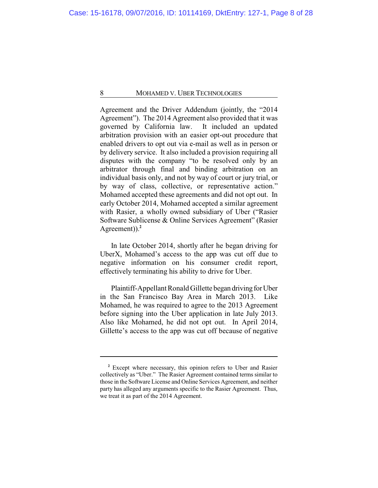Agreement and the Driver Addendum (jointly, the "2014 Agreement"). The 2014 Agreement also provided that it was governed by California law. It included an updated arbitration provision with an easier opt-out procedure that enabled drivers to opt out via e-mail as well as in person or by delivery service. It also included a provision requiring all disputes with the company "to be resolved only by an arbitrator through final and binding arbitration on an individual basis only, and not by way of court or jury trial, or by way of class, collective, or representative action." Mohamed accepted these agreements and did not opt out. In early October 2014, Mohamed accepted a similar agreement with Rasier, a wholly owned subsidiary of Uber ("Rasier Software Sublicense & Online Services Agreement" (Rasier Agreement)).**<sup>2</sup>**

In late October 2014, shortly after he began driving for UberX, Mohamed's access to the app was cut off due to negative information on his consumer credit report, effectively terminating his ability to drive for Uber.

Plaintiff-Appellant Ronald Gillette began driving for Uber in the San Francisco Bay Area in March 2013. Like Mohamed, he was required to agree to the 2013 Agreement before signing into the Uber application in late July 2013. Also like Mohamed, he did not opt out. In April 2014, Gillette's access to the app was cut off because of negative

**<sup>2</sup>** Except where necessary, this opinion refers to Uber and Rasier collectively as "Uber." The Rasier Agreement contained terms similar to those in the Software License and Online Services Agreement, and neither party has alleged any arguments specific to the Rasier Agreement. Thus, we treat it as part of the 2014 Agreement.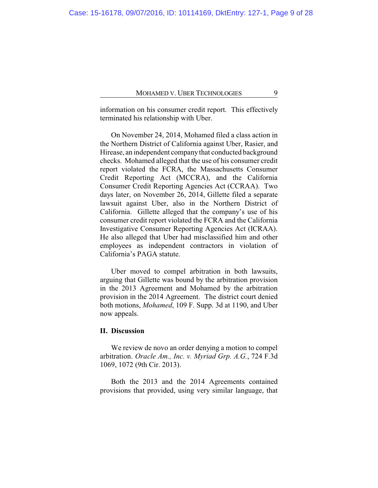information on his consumer credit report. This effectively terminated his relationship with Uber.

On November 24, 2014, Mohamed filed a class action in the Northern District of California against Uber, Rasier, and Hirease, an independent company that conducted background checks. Mohamed alleged that the use of his consumer credit report violated the FCRA, the Massachusetts Consumer Credit Reporting Act (MCCRA), and the California Consumer Credit Reporting Agencies Act (CCRAA). Two days later, on November 26, 2014, Gillette filed a separate lawsuit against Uber, also in the Northern District of California. Gillette alleged that the company's use of his consumer credit report violated the FCRA and the California Investigative Consumer Reporting Agencies Act (ICRAA). He also alleged that Uber had misclassified him and other employees as independent contractors in violation of California's PAGA statute.

Uber moved to compel arbitration in both lawsuits, arguing that Gillette was bound by the arbitration provision in the 2013 Agreement and Mohamed by the arbitration provision in the 2014 Agreement. The district court denied both motions, *Mohamed*, 109 F. Supp. 3d at 1190, and Uber now appeals.

## **II. Discussion**

We review de novo an order denying a motion to compel arbitration. *Oracle Am., Inc. v. Myriad Grp. A.G.*, 724 F.3d 1069, 1072 (9th Cir. 2013).

Both the 2013 and the 2014 Agreements contained provisions that provided, using very similar language, that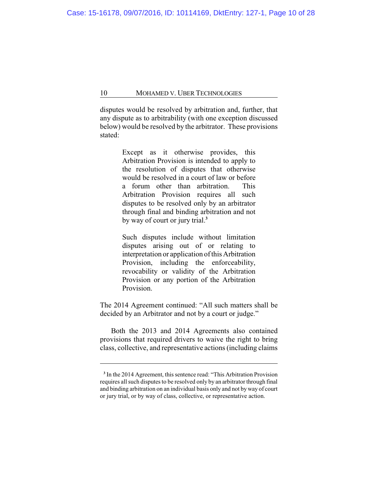disputes would be resolved by arbitration and, further, that any dispute as to arbitrability (with one exception discussed below) would be resolved by the arbitrator. These provisions stated:

> Except as it otherwise provides, this Arbitration Provision is intended to apply to the resolution of disputes that otherwise would be resolved in a court of law or before a forum other than arbitration. This Arbitration Provision requires all such disputes to be resolved only by an arbitrator through final and binding arbitration and not by way of court or jury trial.**<sup>3</sup>**

> Such disputes include without limitation disputes arising out of or relating to interpretation or application of this Arbitration Provision, including the enforceability, revocability or validity of the Arbitration Provision or any portion of the Arbitration Provision.

The 2014 Agreement continued: "All such matters shall be decided by an Arbitrator and not by a court or judge."

Both the 2013 and 2014 Agreements also contained provisions that required drivers to waive the right to bring class, collective, and representative actions (including claims

**<sup>3</sup>** In the 2014 Agreement, this sentence read: "This Arbitration Provision requires all such disputes to be resolved only by an arbitrator through final and binding arbitration on an individual basis only and not by way of court or jury trial, or by way of class, collective, or representative action.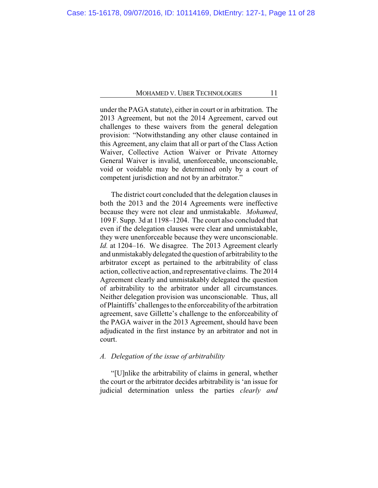under the PAGA statute), either in court or in arbitration. The 2013 Agreement, but not the 2014 Agreement, carved out challenges to these waivers from the general delegation provision: "Notwithstanding any other clause contained in this Agreement, any claim that all or part of the Class Action Waiver, Collective Action Waiver or Private Attorney General Waiver is invalid, unenforceable, unconscionable, void or voidable may be determined only by a court of competent jurisdiction and not by an arbitrator."

The district court concluded that the delegation clauses in both the 2013 and the 2014 Agreements were ineffective because they were not clear and unmistakable. *Mohamed*, 109 F. Supp. 3d at 1198–1204. The court also concluded that even if the delegation clauses were clear and unmistakable, they were unenforceable because they were unconscionable. *Id.* at 1204–16. We disagree. The 2013 Agreement clearly and unmistakably delegated the question of arbitrability to the arbitrator except as pertained to the arbitrability of class action, collective action, and representative claims. The 2014 Agreement clearly and unmistakably delegated the question of arbitrability to the arbitrator under all circumstances. Neither delegation provision was unconscionable. Thus, all of Plaintiffs' challenges to the enforceabilityof the arbitration agreement, save Gillette's challenge to the enforceability of the PAGA waiver in the 2013 Agreement, should have been adjudicated in the first instance by an arbitrator and not in court.

## *A. Delegation of the issue of arbitrability*

"[U]nlike the arbitrability of claims in general, whether the court or the arbitrator decides arbitrability is 'an issue for judicial determination unless the parties *clearly and*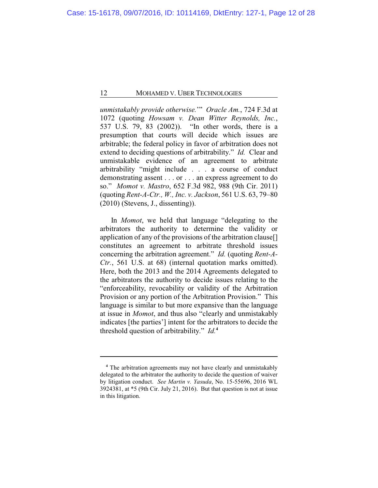*unmistakably provide otherwise.*'" *Oracle Am.*, 724 F.3d at 1072 (quoting *Howsam v. Dean Witter Reynolds, Inc.*, 537 U.S. 79, 83 (2002)). "In other words, there is a presumption that courts will decide which issues are arbitrable; the federal policy in favor of arbitration does not extend to deciding questions of arbitrability." *Id.* Clear and unmistakable evidence of an agreement to arbitrate arbitrability "might include . . . a course of conduct demonstrating assent . . . or . . . an express agreement to do so." *Momot v. Mastro*, 652 F.3d 982, 988 (9th Cir. 2011) (quoting *Rent-A-Ctr., W., Inc. v. Jackson*, 561 U.S. 63, 79–80 (2010) (Stevens, J., dissenting)).

In *Momot*, we held that language "delegating to the arbitrators the authority to determine the validity or application of any of the provisions of the arbitration clause[] constitutes an agreement to arbitrate threshold issues concerning the arbitration agreement." *Id.* (quoting *Rent-A-Ctr.*, 561 U.S. at 68) (internal quotation marks omitted). Here, both the 2013 and the 2014 Agreements delegated to the arbitrators the authority to decide issues relating to the "enforceability, revocability or validity of the Arbitration Provision or any portion of the Arbitration Provision." This language is similar to but more expansive than the language at issue in *Momot*, and thus also "clearly and unmistakably indicates [the parties'] intent for the arbitrators to decide the threshold question of arbitrability." *Id.***<sup>4</sup>**

**<sup>4</sup>** The arbitration agreements may not have clearly and unmistakably delegated to the arbitrator the authority to decide the question of waiver by litigation conduct. *See Martin v. Yasuda*, No. 15-55696, 2016 WL 3924381, at \*5 (9th Cir. July 21, 2016). But that question is not at issue in this litigation.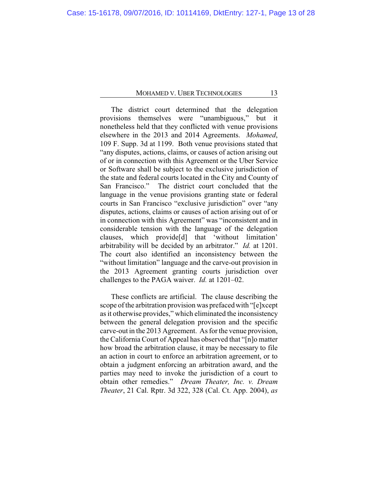The district court determined that the delegation provisions themselves were "unambiguous," but it nonetheless held that they conflicted with venue provisions elsewhere in the 2013 and 2014 Agreements. *Mohamed*, 109 F. Supp. 3d at 1199. Both venue provisions stated that "any disputes, actions, claims, or causes of action arising out of or in connection with this Agreement or the Uber Service or Software shall be subject to the exclusive jurisdiction of the state and federal courts located in the City and County of San Francisco." The district court concluded that the language in the venue provisions granting state or federal courts in San Francisco "exclusive jurisdiction" over "any disputes, actions, claims or causes of action arising out of or in connection with this Agreement" was "inconsistent and in considerable tension with the language of the delegation clauses, which provide[d] that 'without limitation' arbitrability will be decided by an arbitrator." *Id.* at 1201. The court also identified an inconsistency between the "without limitation" language and the carve-out provision in the 2013 Agreement granting courts jurisdiction over challenges to the PAGA waiver. *Id.* at 1201–02.

These conflicts are artificial. The clause describing the scope of the arbitration provision was prefaced with "[e]xcept as it otherwise provides," which eliminated the inconsistency between the general delegation provision and the specific carve-out in the 2013 Agreement. As for the venue provision, the California Court of Appeal has observed that "[n]o matter how broad the arbitration clause, it may be necessary to file an action in court to enforce an arbitration agreement, or to obtain a judgment enforcing an arbitration award, and the parties may need to invoke the jurisdiction of a court to obtain other remedies." *Dream Theater, Inc. v. Dream Theater*, 21 Cal. Rptr. 3d 322, 328 (Cal. Ct. App. 2004), *as*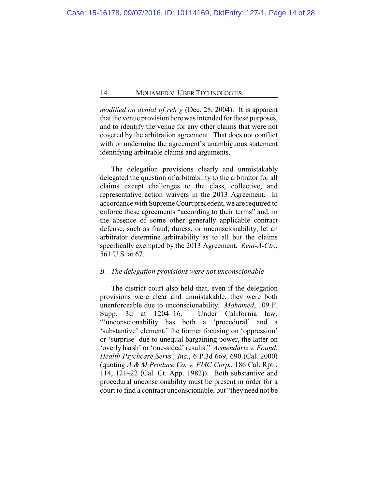*modified on denial of reh'g* (Dec. 28, 2004). It is apparent that the venue provision here was intended for these purposes, and to identify the venue for any other claims that were not covered by the arbitration agreement. That does not conflict with or undermine the agreement's unambiguous statement identifying arbitrable claims and arguments.

The delegation provisions clearly and unmistakably delegated the question of arbitrability to the arbitrator for all claims except challenges to the class, collective, and representative action waivers in the 2013 Agreement. In accordance with Supreme Court precedent, we are required to enforce these agreements "according to their terms" and, in the absence of some other generally applicable contract defense, such as fraud, duress, or unconscionability, let an arbitrator determine arbitrability as to all but the claims specifically exempted by the 2013 Agreement. *Rent-A-Ctr.*, 561 U.S. at 67.

# *B. The delegation provisions were not unconscionable*

The district court also held that, even if the delegation provisions were clear and unmistakable, they were both unenforceable due to unconscionability. *Mohamed*, 109 F. Supp. 3d at 1204–16. Under California law, "'unconscionability has both a 'procedural' and a 'substantive' element,' the former focusing on 'oppression' or 'surprise' due to unequal bargaining power, the latter on 'overly harsh' or 'one-sided' results." *Armendariz v. Found. Health Psychcare Servs., Inc.*, 6 P.3d 669, 690 (Cal. 2000) (quoting *A & M Produce Co. v. FMC Corp.*, 186 Cal. Rptr. 114, 121–22 (Cal. Ct. App. 1982)). Both substantive and procedural unconscionability must be present in order for a court to find a contract unconscionable, but "they need not be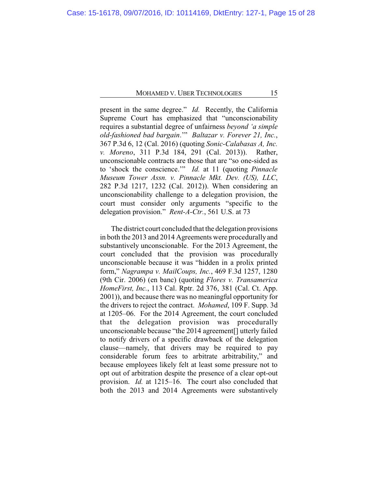present in the same degree." *Id.* Recently, the California Supreme Court has emphasized that "unconscionability requires a substantial degree of unfairness *beyond 'a simple old-fashioned bad bargain*.'" *Baltazar v. Forever 21, Inc.*, 367 P.3d 6, 12 (Cal. 2016) (quoting *Sonic-Calabasas A, Inc. v. Moreno*, 311 P.3d 184, 291 (Cal. 2013)). Rather, unconscionable contracts are those that are "so one-sided as to 'shock the conscience.'" *Id.* at 11 (quoting *Pinnacle Museum Tower Assn. v. Pinnacle Mkt. Dev. (US), LLC*, 282 P.3d 1217, 1232 (Cal. 2012)). When considering an unconscionability challenge to a delegation provision, the court must consider only arguments "specific to the delegation provision." *Rent-A-Ctr.*, 561 U.S. at 73

The district court concluded that the delegation provisions in both the 2013 and 2014 Agreements were procedurally and substantively unconscionable. For the 2013 Agreement, the court concluded that the provision was procedurally unconscionable because it was "hidden in a prolix printed form," *Nagrampa v. MailCoups, Inc.*, 469 F.3d 1257, 1280 (9th Cir. 2006) (en banc) (quoting *Flores v. Transamerica HomeFirst, Inc.*, 113 Cal. Rptr. 2d 376, 381 (Cal. Ct. App. 2001)), and because there was no meaningful opportunity for the drivers to reject the contract. *Mohamed*, 109 F. Supp. 3d at 1205–06. For the 2014 Agreement, the court concluded that the delegation provision was procedurally unconscionable because "the 2014 agreement[] utterly failed to notify drivers of a specific drawback of the delegation clause—namely, that drivers may be required to pay considerable forum fees to arbitrate arbitrability," and because employees likely felt at least some pressure not to opt out of arbitration despite the presence of a clear opt-out provision. *Id.* at 1215–16. The court also concluded that both the 2013 and 2014 Agreements were substantively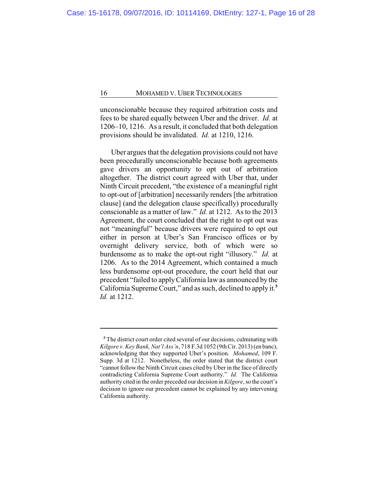unconscionable because they required arbitration costs and fees to be shared equally between Uber and the driver. *Id.* at 1206–10, 1216. As a result, it concluded that both delegation provisions should be invalidated. *Id.* at 1210, 1216.

Uber argues that the delegation provisions could not have been procedurally unconscionable because both agreements gave drivers an opportunity to opt out of arbitration altogether. The district court agreed with Uber that, under Ninth Circuit precedent, "the existence of a meaningful right to opt-out of [arbitration] necessarily renders [the arbitration clause] (and the delegation clause specifically) procedurally conscionable as a matter of law." *Id.* at 1212. As to the 2013 Agreement, the court concluded that the right to opt out was not "meaningful" because drivers were required to opt out either in person at Uber's San Francisco offices or by overnight delivery service, both of which were so burdensome as to make the opt-out right "illusory." *Id.* at 1206. As to the 2014 Agreement, which contained a much less burdensome opt-out procedure, the court held that our precedent "failed to applyCalifornia law as announced by the California Supreme Court," and as such, declined to apply it.**<sup>5</sup>** *Id.* at 1212.

**<sup>5</sup>** The district court order cited several of our decisions, culminating with *Kilgore v. Key Bank, Nat'l Ass'n*, 718 F.3d 1052 (9thCir. 2013) (en banc), acknowledging that they supported Uber's position. *Mohamed*, 109 F. Supp. 3d at 1212. Nonetheless, the order stated that the district court "cannot follow the Ninth Circuit cases cited by Uber in the face of directly contradicting California Supreme Court authority." *Id.* The California authority cited in the order preceded our decision in*Kilgore*, so the court's decision to ignore our precedent cannot be explained by any intervening California authority.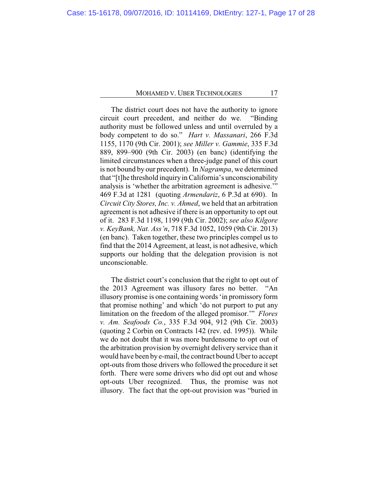The district court does not have the authority to ignore circuit court precedent, and neither do we. "Binding authority must be followed unless and until overruled by a body competent to do so." *Hart v. Massanari*, 266 F.3d 1155, 1170 (9th Cir. 2001); *see Miller v. Gammie*, 335 F.3d 889, 899–900 (9th Cir. 2003) (en banc) (identifying the limited circumstances when a three-judge panel of this court is not bound by our precedent). In *Nagrampa*, we determined that "[t]he threshold inquiry in California's unconscionability analysis is 'whether the arbitration agreement is adhesive.'" 469 F.3d at 1281 (quoting *Armendariz*, 6 P.3d at 690). In *Circuit City Stores, Inc. v. Ahmed*, we held that an arbitration agreement is not adhesive if there is an opportunity to opt out of it. 283 F.3d 1198, 1199 (9th Cir. 2002); *see also Kilgore v. KeyBank, Nat. Ass'n*, 718 F.3d 1052, 1059 (9th Cir. 2013) (en banc). Taken together, these two principles compel us to find that the 2014 Agreement, at least, is not adhesive, which supports our holding that the delegation provision is not unconscionable.

The district court's conclusion that the right to opt out of the 2013 Agreement was illusory fares no better. "An illusory promise is one containing words 'in promissory form that promise nothing' and which 'do not purport to put any limitation on the freedom of the alleged promisor.'" *Flores v. Am. Seafoods Co.*, 335 F.3d 904, 912 (9th Cir. 2003) (quoting 2 Corbin on Contracts 142 (rev. ed. 1995)). While we do not doubt that it was more burdensome to opt out of the arbitration provision by overnight delivery service than it would have been by e-mail, the contract bound Uber to accept opt-outs from those drivers who followed the procedure it set forth. There were some drivers who did opt out and whose opt-outs Uber recognized. Thus, the promise was not illusory. The fact that the opt-out provision was "buried in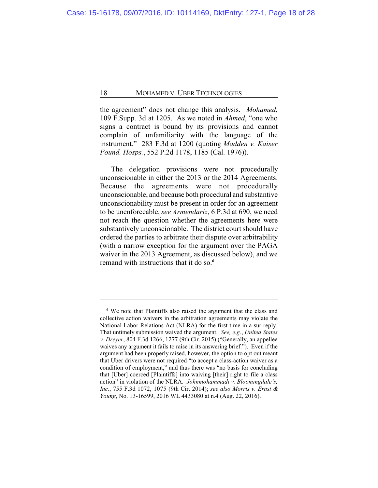the agreement" does not change this analysis. *Mohamed*, 109 F.Supp. 3d at 1205. As we noted in *Ahmed*, "one who signs a contract is bound by its provisions and cannot complain of unfamiliarity with the language of the instrument." 283 F.3d at 1200 (quoting *Madden v. Kaiser Found. Hosps.*, 552 P.2d 1178, 1185 (Cal. 1976)).

The delegation provisions were not procedurally unconscionable in either the 2013 or the 2014 Agreements. Because the agreements were not procedurally unconscionable, and because both procedural and substantive unconscionability must be present in order for an agreement to be unenforceable, *see Armendariz*, 6 P.3d at 690, we need not reach the question whether the agreements here were substantively unconscionable. The district court should have ordered the parties to arbitrate their dispute over arbitrability (with a narrow exception for the argument over the PAGA waiver in the 2013 Agreement, as discussed below), and we remand with instructions that it do so.**<sup>6</sup>**

**<sup>6</sup>** We note that Plaintiffs also raised the argument that the class and collective action waivers in the arbitration agreements may violate the National Labor Relations Act (NLRA) for the first time in a sur-reply. That untimely submission waived the argument. *See, e.g.*, *United States v. Dreyer*, 804 F.3d 1266, 1277 (9th Cir. 2015) ("Generally, an appellee waives any argument it fails to raise in its answering brief."). Even if the argument had been properly raised, however, the option to opt out meant that Uber drivers were not required "to accept a class-action waiver as a condition of employment," and thus there was "no basis for concluding that [Uber] coerced [Plaintiffs] into waiving [their] right to file a class action" in violation of the NLRA. *Johnmohammadi v. Bloomingdale's, Inc.*, 755 F.3d 1072, 1075 (9th Cir. 2014); *see also Morris v. Ernst & Young*, No. 13-16599, 2016 WL 4433080 at n.4 (Aug. 22, 2016).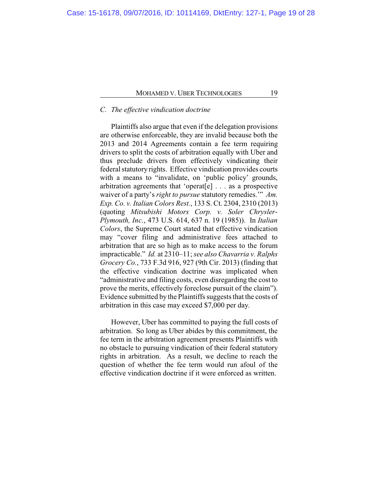# *C. The effective vindication doctrine*

Plaintiffs also argue that even if the delegation provisions are otherwise enforceable, they are invalid because both the 2013 and 2014 Agreements contain a fee term requiring drivers to split the costs of arbitration equally with Uber and thus preclude drivers from effectively vindicating their federal statutory rights. Effective vindication provides courts with a means to "invalidate, on 'public policy' grounds, arbitration agreements that 'operat[e] . . . as a prospective waiver of a party's *right to pursue* statutory remedies.'" *Am. Exp. Co. v. Italian Colors Rest.*, 133 S. Ct. 2304, 2310 (2013) (quoting *Mitsubishi Motors Corp. v. Soler Chrysler-Plymouth, Inc.*, 473 U.S. 614, 637 n. 19 (1985)). In *Italian Colors*, the Supreme Court stated that effective vindication may "cover filing and administrative fees attached to arbitration that are so high as to make access to the forum impracticable." *Id.* at 2310–11; *see also Chavarria v. Ralphs Grocery Co.*, 733 F.3d 916, 927 (9th Cir. 2013) (finding that the effective vindication doctrine was implicated when "administrative and filing costs, even disregarding the cost to prove the merits, effectively foreclose pursuit of the claim"). Evidence submitted by the Plaintiffs suggests that the costs of arbitration in this case may exceed \$7,000 per day.

However, Uber has committed to paying the full costs of arbitration. So long as Uber abides by this commitment, the fee term in the arbitration agreement presents Plaintiffs with no obstacle to pursuing vindication of their federal statutory rights in arbitration. As a result, we decline to reach the question of whether the fee term would run afoul of the effective vindication doctrine if it were enforced as written.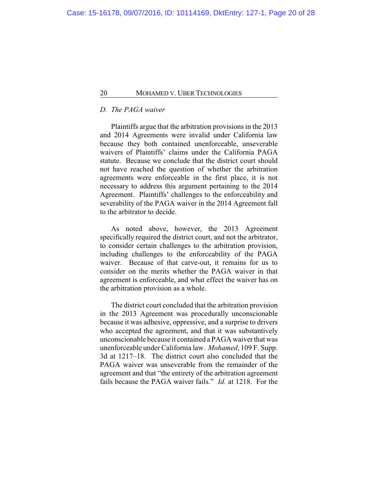# *D. The PAGA waiver*

Plaintiffs argue that the arbitration provisions in the 2013 and 2014 Agreements were invalid under California law because they both contained unenforceable, unseverable waivers of Plaintiffs' claims under the California PAGA statute. Because we conclude that the district court should not have reached the question of whether the arbitration agreements were enforceable in the first place, it is not necessary to address this argument pertaining to the 2014 Agreement. Plaintiffs' challenges to the enforceability and severability of the PAGA waiver in the 2014 Agreement fall to the arbitrator to decide.

As noted above, however, the 2013 Agreement specifically required the district court, and not the arbitrator, to consider certain challenges to the arbitration provision, including challenges to the enforceability of the PAGA waiver. Because of that carve-out, it remains for us to consider on the merits whether the PAGA waiver in that agreement is enforceable, and what effect the waiver has on the arbitration provision as a whole.

The district court concluded that the arbitration provision in the 2013 Agreement was procedurally unconscionable because it was adhesive, oppressive, and a surprise to drivers who accepted the agreement, and that it was substantively unconscionable because it contained a PAGA waiver that was unenforceable under California law. *Mohamed*, 109 F. Supp. 3d at 1217–18. The district court also concluded that the PAGA waiver was unseverable from the remainder of the agreement and that "the entirety of the arbitration agreement fails because the PAGA waiver fails." *Id.* at 1218. For the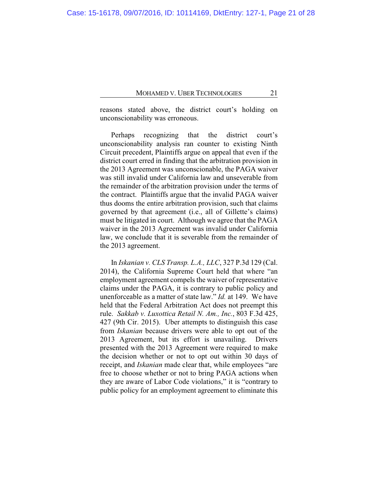reasons stated above, the district court's holding on unconscionability was erroneous.

Perhaps recognizing that the district court's unconscionability analysis ran counter to existing Ninth Circuit precedent, Plaintiffs argue on appeal that even if the district court erred in finding that the arbitration provision in the 2013 Agreement was unconscionable, the PAGA waiver was still invalid under California law and unseverable from the remainder of the arbitration provision under the terms of the contract. Plaintiffs argue that the invalid PAGA waiver thus dooms the entire arbitration provision, such that claims governed by that agreement (i.e., all of Gillette's claims) must be litigated in court. Although we agree that the PAGA waiver in the 2013 Agreement was invalid under California law, we conclude that it is severable from the remainder of the 2013 agreement.

In *Iskanian v. CLS Transp. L.A., LLC*, 327 P.3d 129 (Cal. 2014), the California Supreme Court held that where "an employment agreement compels the waiver of representative claims under the PAGA, it is contrary to public policy and unenforceable as a matter of state law." *Id.* at 149. We have held that the Federal Arbitration Act does not preempt this rule. *Sakkab v. Luxottica Retail N. Am., Inc.*, 803 F.3d 425, 427 (9th Cir. 2015). Uber attempts to distinguish this case from *Iskanian* because drivers were able to opt out of the 2013 Agreement, but its effort is unavailing. Drivers presented with the 2013 Agreement were required to make the decision whether or not to opt out within 30 days of receipt, and *Iskanian* made clear that, while employees "are free to choose whether or not to bring PAGA actions when they are aware of Labor Code violations," it is "contrary to public policy for an employment agreement to eliminate this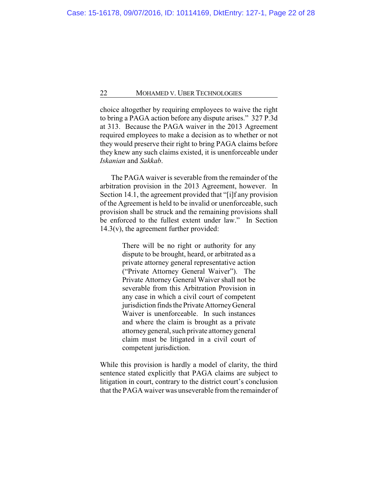choice altogether by requiring employees to waive the right to bring a PAGA action before any dispute arises." 327 P.3d at 313. Because the PAGA waiver in the 2013 Agreement required employees to make a decision as to whether or not they would preserve their right to bring PAGA claims before they knew any such claims existed, it is unenforceable under *Iskanian* and *Sakkab*.

The PAGA waiver is severable from the remainder of the arbitration provision in the 2013 Agreement, however. In Section 14.1, the agreement provided that "[i]f any provision of the Agreement is held to be invalid or unenforceable, such provision shall be struck and the remaining provisions shall be enforced to the fullest extent under law." In Section  $14.3(v)$ , the agreement further provided:

> There will be no right or authority for any dispute to be brought, heard, or arbitrated as a private attorney general representative action ("Private Attorney General Waiver"). The Private Attorney General Waiver shall not be severable from this Arbitration Provision in any case in which a civil court of competent jurisdiction finds the Private AttorneyGeneral Waiver is unenforceable. In such instances and where the claim is brought as a private attorney general, such private attorney general claim must be litigated in a civil court of competent jurisdiction.

While this provision is hardly a model of clarity, the third sentence stated explicitly that PAGA claims are subject to litigation in court, contrary to the district court's conclusion that the PAGA waiver was unseverable from the remainder of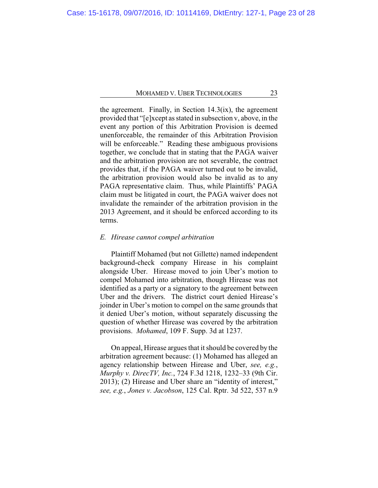the agreement. Finally, in Section 14.3(ix), the agreement provided that "[e]xcept as stated in subsection v, above, in the event any portion of this Arbitration Provision is deemed unenforceable, the remainder of this Arbitration Provision will be enforceable." Reading these ambiguous provisions together, we conclude that in stating that the PAGA waiver and the arbitration provision are not severable, the contract provides that, if the PAGA waiver turned out to be invalid, the arbitration provision would also be invalid as to any PAGA representative claim. Thus, while Plaintiffs' PAGA claim must be litigated in court, the PAGA waiver does not invalidate the remainder of the arbitration provision in the 2013 Agreement, and it should be enforced according to its terms.

#### *E. Hirease cannot compel arbitration*

Plaintiff Mohamed (but not Gillette) named independent background-check company Hirease in his complaint alongside Uber. Hirease moved to join Uber's motion to compel Mohamed into arbitration, though Hirease was not identified as a party or a signatory to the agreement between Uber and the drivers. The district court denied Hirease's joinder in Uber's motion to compel on the same grounds that it denied Uber's motion, without separately discussing the question of whether Hirease was covered by the arbitration provisions. *Mohamed*, 109 F. Supp. 3d at 1237.

On appeal, Hirease argues that it should be covered by the arbitration agreement because: (1) Mohamed has alleged an agency relationship between Hirease and Uber, *see, e.g.*, *Murphy v. DirecTV, Inc.*, 724 F.3d 1218, 1232–33 (9th Cir. 2013); (2) Hirease and Uber share an "identity of interest," *see, e.g.*, *Jones v. Jacobson*, 125 Cal. Rptr. 3d 522, 537 n.9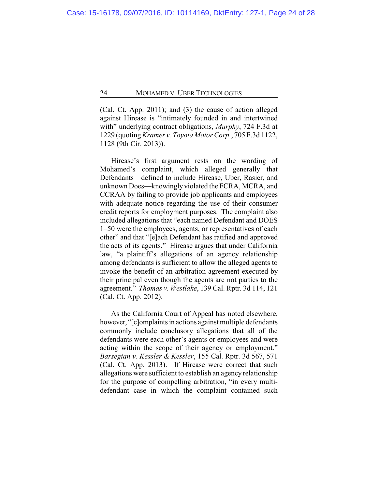(Cal. Ct. App. 2011); and (3) the cause of action alleged against Hirease is "intimately founded in and intertwined with" underlying contract obligations, *Murphy*, 724 F.3d at 1229 (quoting*Kramer v. Toyota Motor Corp.*, 705 F.3d 1122, 1128 (9th Cir. 2013)).

Hirease's first argument rests on the wording of Mohamed's complaint, which alleged generally that Defendants—defined to include Hirease, Uber, Rasier, and unknown Does—knowingly violated the FCRA, MCRA, and CCRAA by failing to provide job applicants and employees with adequate notice regarding the use of their consumer credit reports for employment purposes. The complaint also included allegations that "each named Defendant and DOES 1–50 were the employees, agents, or representatives of each other" and that "[e]ach Defendant has ratified and approved the acts of its agents." Hirease argues that under California law, "a plaintiff's allegations of an agency relationship among defendants is sufficient to allow the alleged agents to invoke the benefit of an arbitration agreement executed by their principal even though the agents are not parties to the agreement." *Thomas v. Westlake*, 139 Cal. Rptr. 3d 114, 121 (Cal. Ct. App. 2012).

As the California Court of Appeal has noted elsewhere, however, "[c]omplaints in actions against multiple defendants commonly include conclusory allegations that all of the defendants were each other's agents or employees and were acting within the scope of their agency or employment." *Barsegian v. Kessler & Kessler*, 155 Cal. Rptr. 3d 567, 571 (Cal. Ct. App. 2013). If Hirease were correct that such allegations were sufficient to establish an agency relationship for the purpose of compelling arbitration, "in every multidefendant case in which the complaint contained such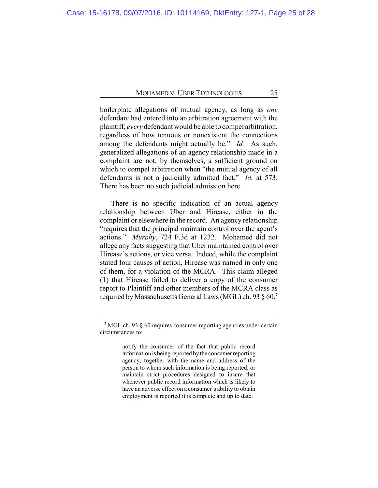boilerplate allegations of mutual agency, as long as *one* defendant had entered into an arbitration agreement with the plaintiff, *every* defendant would be able to compel arbitration, regardless of how tenuous or nonexistent the connections among the defendants might actually be." *Id.* As such, generalized allegations of an agency relationship made in a complaint are not, by themselves, a sufficient ground on which to compel arbitration when "the mutual agency of all defendants is not a judicially admitted fact." *Id.* at 573. There has been no such judicial admission here.

There is no specific indication of an actual agency relationship between Uber and Hirease, either in the complaint or elsewhere in the record. An agency relationship "requires that the principal maintain control over the agent's actions." *Murphy*, 724 F.3d at 1232. Mohamed did not allege any facts suggesting that Uber maintained control over Hirease's actions, or vice versa. Indeed, while the complaint stated four causes of action, Hirease was named in only one of them, for a violation of the MCRA. This claim alleged (1) that Hirease failed to deliver a copy of the consumer report to Plaintiff and other members of the MCRA class as required byMassachusetts General Laws (MGL) ch. 93 § 60,**<sup>7</sup>**

<sup>&</sup>lt;sup>7</sup> MGL ch. 93 § 60 requires consumer reporting agencies under certain circumstances to:

notify the consumer of the fact that public record information is being reported by the consumer reporting agency, together with the name and address of the person to whom such information is being reported; or maintain strict procedures designed to insure that whenever public record information which is likely to have an adverse effect on a consumer's ability to obtain employment is reported it is complete and up to date.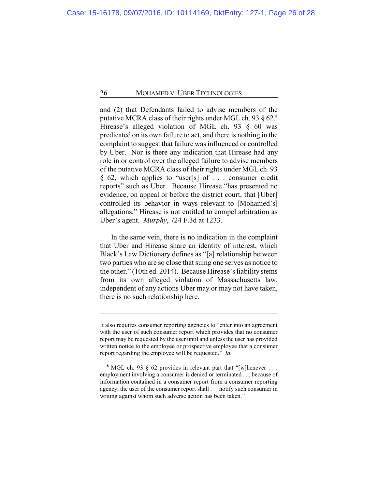and (2) that Defendants failed to advise members of the putative MCRA class of their rights under MGL ch. 93 § 62.**<sup>8</sup>** Hirease's alleged violation of MGL ch. 93 § 60 was predicated on its own failure to act, and there is nothing in the complaint to suggest that failure was influenced or controlled by Uber. Nor is there any indication that Hirease had any role in or control over the alleged failure to advise members of the putative MCRA class of their rights under MGL ch. 93 § 62, which applies to "user[s] of . . . consumer credit reports" such as Uber. Because Hirease "has presented no evidence, on appeal or before the district court, that [Uber] controlled its behavior in ways relevant to [Mohamed's] allegations," Hirease is not entitled to compel arbitration as Uber's agent. *Murphy*, 724 F.3d at 1233.

In the same vein, there is no indication in the complaint that Uber and Hirease share an identity of interest, which Black's Law Dictionary defines as "[a] relationship between two parties who are so close that suing one serves as notice to the other." (10th ed. 2014). Because Hirease's liability stems from its own alleged violation of Massachusetts law, independent of any actions Uber may or may not have taken, there is no such relationship here.

It also requires consumer reporting agencies to "enter into an agreement with the user of such consumer report which provides that no consumer report may be requested by the user until and unless the user has provided written notice to the employee or prospective employee that a consumer report regarding the employee will be requested." *Id.*

**<sup>8</sup>** MGL ch. 93 § 62 provides in relevant part that "[w]henever . . . employment involving a consumer is denied or terminated . . . because of information contained in a consumer report from a consumer reporting agency, the user of the consumer report shall . . . notify such consumer in writing against whom such adverse action has been taken."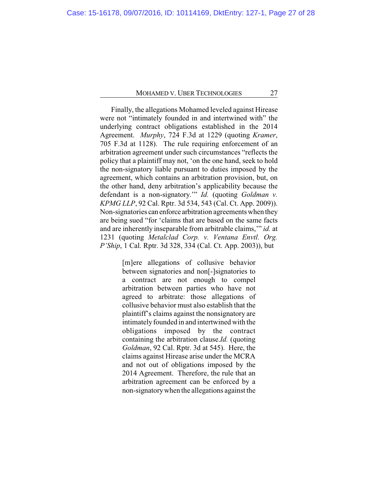Finally, the allegations Mohamed leveled against Hirease were not "intimately founded in and intertwined with" the underlying contract obligations established in the 2014 Agreement. *Murphy*, 724 F.3d at 1229 (quoting *Kramer*, 705 F.3d at 1128). The rule requiring enforcement of an arbitration agreement under such circumstances "reflects the policy that a plaintiff may not, 'on the one hand, seek to hold the non-signatory liable pursuant to duties imposed by the agreement, which contains an arbitration provision, but, on the other hand, deny arbitration's applicability because the defendant is a non-signatory.'" *Id.* (quoting *Goldman v. KPMG LLP*, 92 Cal. Rptr. 3d 534, 543 (Cal. Ct. App. 2009)). Non-signatories can enforce arbitration agreements when they are being sued "for 'claims that are based on the same facts and are inherently inseparable from arbitrable claims,'" *id.* at 1231 (quoting *Metalclad Corp. v. Ventana Envtl. Org. P'Ship*, 1 Cal. Rptr. 3d 328, 334 (Cal. Ct. App. 2003)), but

> [m]ere allegations of collusive behavior between signatories and non[-]signatories to a contract are not enough to compel arbitration between parties who have not agreed to arbitrate: those allegations of collusive behavior must also establish that the plaintiff's claims against the nonsignatory are intimately founded in and intertwined with the obligations imposed by the contract containing the arbitration clause.*Id.* (quoting *Goldman*, 92 Cal. Rptr. 3d at 545). Here, the claims against Hirease arise under the MCRA and not out of obligations imposed by the 2014 Agreement. Therefore, the rule that an arbitration agreement can be enforced by a non-signatorywhen the allegations against the